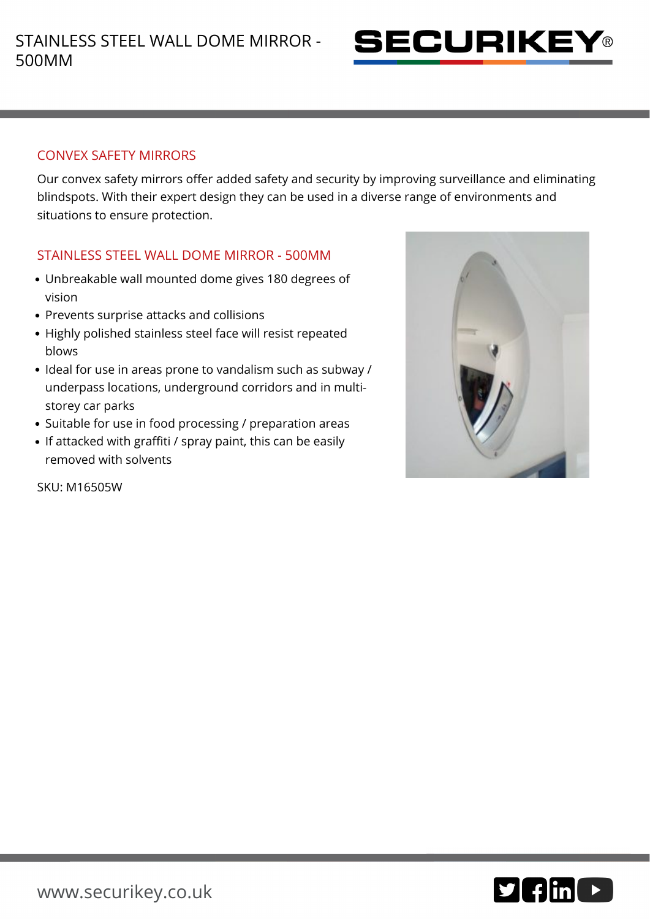

#### CONVEX SAFETY MIRRORS

Our convex safety mirrors offer added safety and security by improving surveillance and eliminating blindspots. With their expert design they can be used in a diverse range of environments and situations to ensure protection.

## STAINLESS STEEL WALL DOME MIRROR - 500MM

- Unbreakable wall mounted dome gives 180 degrees of vision
- Prevents surprise attacks and collisions
- Highly polished stainless steel face will resist repeated blows
- Ideal for use in areas prone to vandalism such as subway / underpass locations, underground corridors and in multistorey car parks
- Suitable for use in food processing / preparation areas
- If attacked with graffiti / spray paint, this can be easily removed with solvents



SKU: M16505W

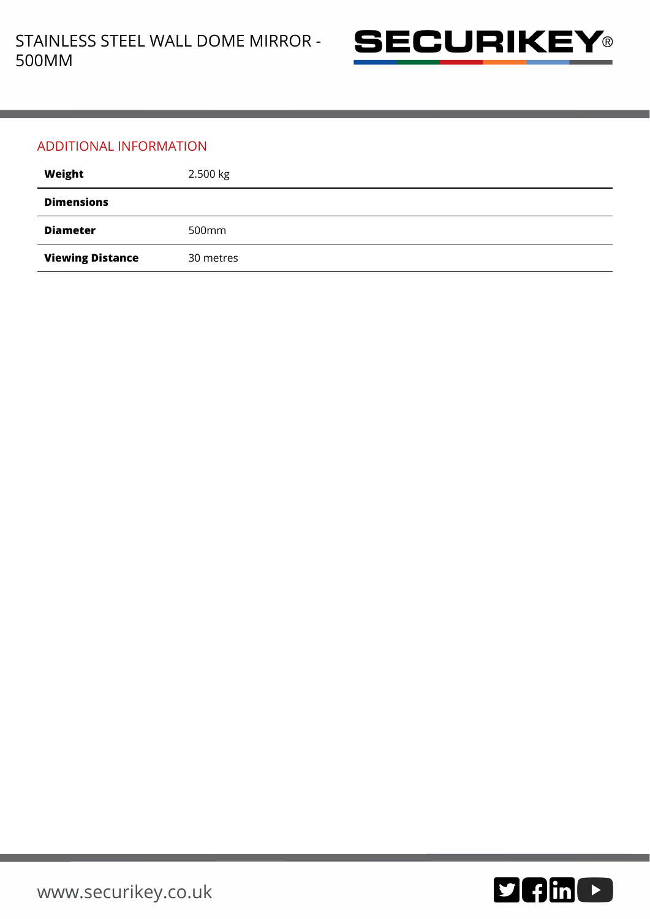

### ADDITIONAL INFORMATION

| Weight                  | 2.500 kg  |
|-------------------------|-----------|
| <b>Dimensions</b>       |           |
| <b>Diameter</b>         | 500mm     |
| <b>Viewing Distance</b> | 30 metres |

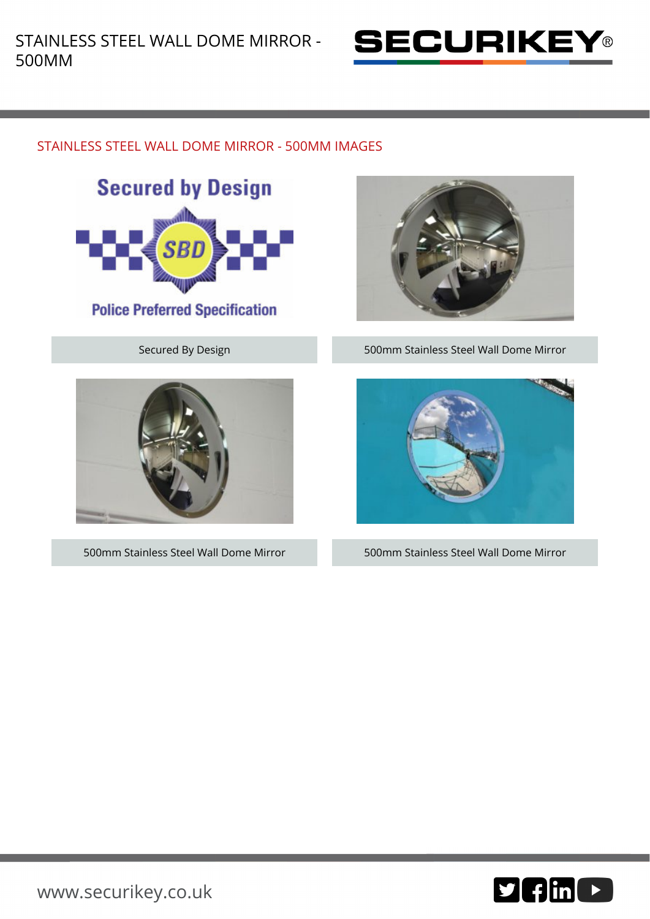

# STAINLESS STEEL WALL DOME MIRROR - 500MM IMAGES



**Police Preferred Specification** 





Secured By Design **500mm Stainless Steel Wall Dome Mirror** 



500mm Stainless Steel Wall Dome Mirror 500mm Stainless Steel Wall Dome Mirror

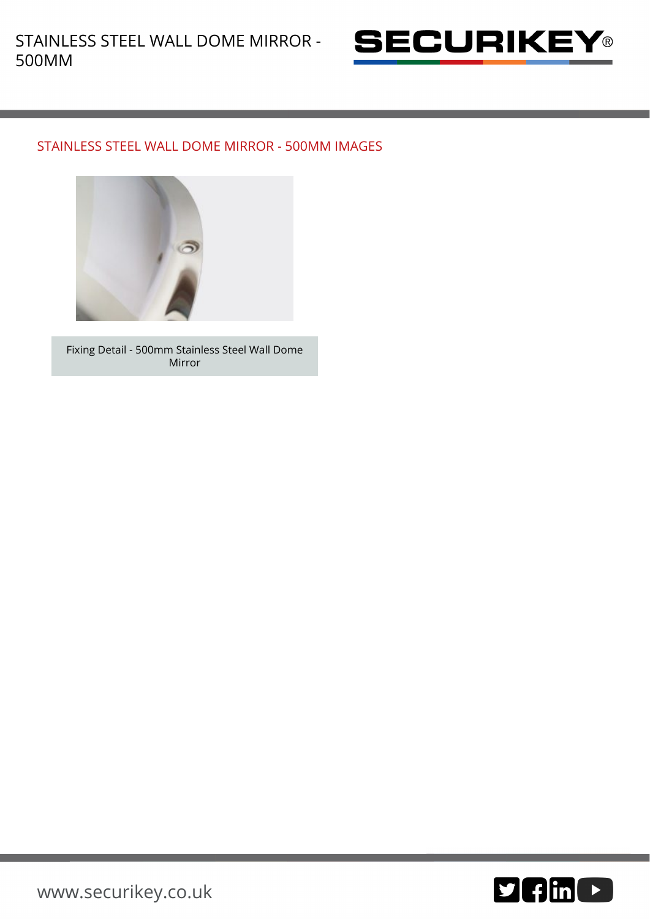

### STAINLESS STEEL WALL DOME MIRROR - 500MM IMAGES



Fixing Detail - 500mm Stainless Steel Wall Dome Mirror